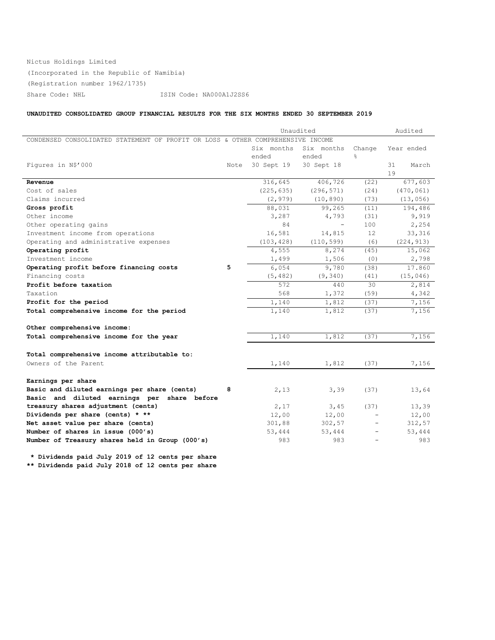# Nictus Holdings Limited (Incorporated in the Republic of Namibia) (Registration number 1962/1735) Share Code: NHL ISIN Code: NA000A1J2SS6

# **UNAUDITED CONSOLIDATED GROUP FINANCIAL RESULTS FOR THE SIX MONTHS ENDED 30 SEPTEMBER 2019**

|                                                                                 |      | Unaudited  | Audited    |        |             |
|---------------------------------------------------------------------------------|------|------------|------------|--------|-------------|
| CONDENSED CONSOLIDATED STATEMENT OF PROFIT OR LOSS & OTHER COMPREHENSIVE INCOME |      |            |            |        |             |
|                                                                                 |      | Six months | Six months | Change | Year ended  |
|                                                                                 |      | ended      | ended      | 옹      |             |
| Figures in N\$'000                                                              | Note | 30 Sept 19 | 30 Sept 18 |        | 31<br>March |
|                                                                                 |      |            |            |        | 19          |
| Revenue                                                                         |      | 316,645    | 406,726    | (22)   | 677,603     |
| Cost of sales                                                                   |      | (225, 635) | (296, 571) | (24)   | (470, 061)  |
| Claims incurred                                                                 |      | (2, 979)   | (10, 890)  | (73)   | (13, 056)   |
| Gross profit                                                                    |      | 88,031     | 99,265     | (11)   | 194,486     |
| Other income                                                                    |      | 3,287      | 4,793      | (31)   | 9,919       |
| Other operating gains                                                           |      | 84         | $\sim$     | 100    | 2,254       |
| Investment income from operations                                               |      | 16,581     | 14,815     | 12     | 33,316      |
| Operating and administrative expenses                                           |      | (103, 428) | (110, 599) | (6)    | (224, 913)  |
| Operating profit                                                                |      | 4,555      | 8,274      | (45)   | 15,062      |
| Investment income                                                               |      | 1,499      | 1,506      | (0)    | 2,798       |
| Operating profit before financing costs                                         | 5    | 6,054      | 9,780      | (38)   | 17.860      |
| Financing costs                                                                 |      | (5, 482)   | (9, 340)   | (41)   | (15, 046)   |
| Profit before taxation                                                          |      | 572        | 440        | 30     | 2,814       |
| Taxation                                                                        |      | 568        | 1,372      | (59)   | 4,342       |
| Profit for the period                                                           |      | 1,140      | 1,812      | (37)   | 7,156       |
| Total comprehensive income for the period                                       |      | 1,140      | 1,812      | (37)   | 7,156       |
|                                                                                 |      |            |            |        |             |
| Other comprehensive income:                                                     |      |            |            |        |             |
| Total comprehensive income for the year                                         |      | 1,140      | 1,812      | (37)   | 7,156       |
|                                                                                 |      |            |            |        |             |
| Total comprehensive income attributable to:                                     |      |            |            |        |             |
| Owners of the Parent                                                            |      | 1,140      | 1,812      | (37)   | 7,156       |
| Earnings per share                                                              |      |            |            |        |             |
| Basic and diluted earnings per share (cents)                                    | 8    | 2,13       | 3,39       | (37)   |             |
| Basic and diluted earnings per share before                                     |      |            |            |        | 13,64       |
| treasury shares adjustment (cents)                                              |      | 2,17       | 3,45       | (37)   | 13,39       |
| Dividends per share (cents) * **                                                |      | 12,00      | 12,00      |        | 12,00       |
| Net asset value per share (cents)                                               |      | 301,88     | 302,57     |        | 312,57      |
| Number of shares in issue (000's)                                               |      | 53,444     | 53,444     |        | 53,444      |
| Number of Treasury shares held in Group (000's)                                 |      | 983        | 983        |        | 983         |
|                                                                                 |      |            |            |        |             |

**\* Dividends paid July 2019 of 12 cents per share \*\* Dividends paid July 2018 of 12 cents per share**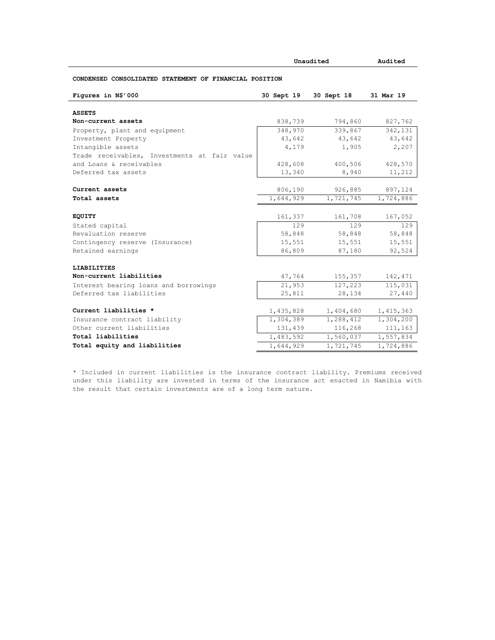|                                                        |            | Unaudited  |           |  |
|--------------------------------------------------------|------------|------------|-----------|--|
| CONDENSED CONSOLIDATED STATEMENT OF FINANCIAL POSITION |            |            |           |  |
| Figures in N\$'000                                     | 30 Sept 19 | 30 Sept 18 | 31 Mar 19 |  |
| <b>ASSETS</b>                                          |            |            |           |  |
| Non-current assets                                     | 838,739    | 794,860    | 827,762   |  |
| Property, plant and equipment                          | 348,970    | 339,867    | 342,131   |  |
| Investment Property                                    | 43,642     | 43,642     | 43,642    |  |
| Intangible assets                                      | 4,179      | 1,905      | 2,207     |  |
| Trade receivables, Investments at fair value           |            |            |           |  |
| and Loans & receivables                                | 428,608    | 400,506    | 428,570   |  |
| Deferred tax assets                                    | 13,340     | 8,940      | 11,212    |  |
| Current assets                                         | 806,190    | 926,885    | 897,124   |  |
| Total assets                                           | 1,644,929  | 1,721,745  | 1,724,886 |  |
| <b>EQUITY</b>                                          | 161,337    | 161,708    | 167,052   |  |
| Stated capital                                         | 129        | 129        | 129       |  |
| Revaluation reserve                                    | 58,848     | 58,848     | 58,848    |  |
| Contingency reserve (Insurance)                        | 15,551     | 15,551     | 15,551    |  |
| Retained earnings                                      | 86,809     | 87,180     | 92,524    |  |
| <b>LIABILITIES</b>                                     |            |            |           |  |
| Non-current liabilities                                | 47,764     | 155,357    | 142,471   |  |
| Interest bearing loans and borrowings                  | 21,953     | 127,223    | 115,031   |  |
| Deferred tax liabilities                               | 25,811     | 28,134     | 27,440    |  |
| Current liabilities *                                  | 1,435,828  | 1,404,680  | 1,415,363 |  |
| Insurance contract liability                           | 1,304,389  | 1,288,412  | 1,304,200 |  |
| Other current liabilities                              | 131,439    | 116,268    | 111,163   |  |
| Total liabilities                                      | 1,483,592  | 1,560,037  | 1,557,834 |  |
| Total equity and liabilities                           | 1,644,929  | 1,721,745  | 1,724,886 |  |

\* Included in current liabilities is the insurance contract liability. Premiums received under this liability are invested in terms of the insurance act enacted in Namibia with the result that certain investments are of a long term nature.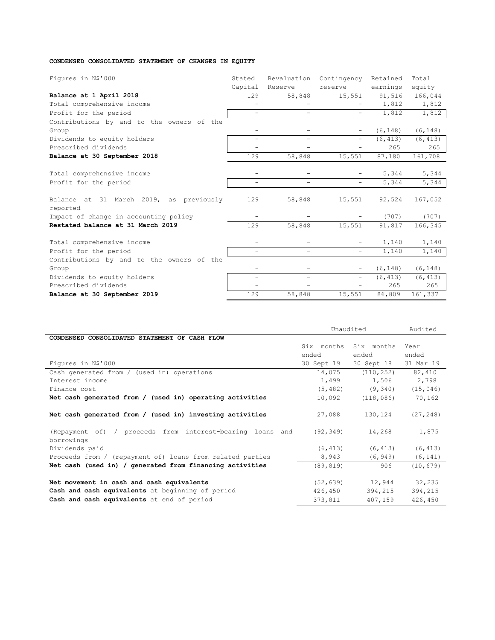# **CONDENSED CONSOLIDATED STATEMENT OF CHANGES IN EQUITY**

| Figures in N\$'000                                  | Stated                   | Revaluation              | Contingency              | Retained | Total    |
|-----------------------------------------------------|--------------------------|--------------------------|--------------------------|----------|----------|
|                                                     | Capital                  | Reserve                  | reserve                  | earnings | equity   |
| Balance at 1 April 2018                             | 129                      | 58,848                   | 15,551                   | 91,516   | 166,044  |
| Total comprehensive income                          |                          |                          |                          | 1,812    | 1,812    |
| Profit for the period                               | $\overline{\phantom{0}}$ | $\sim$                   | $\overline{\phantom{a}}$ | 1,812    | 1,812    |
| Contributions by and to the owners of the           |                          |                          |                          |          |          |
| Group                                               | -                        |                          | $\overline{\phantom{m}}$ | (6, 148) | (6, 148) |
| Dividends to equity holders                         | $\overline{\phantom{0}}$ | $\overline{\phantom{0}}$ | $\overline{\phantom{m}}$ | (6, 413) | (6, 413) |
| Prescribed dividends                                |                          |                          |                          | 265      | 265      |
| Balance at 30 September 2018                        | 129                      | 58,848                   | 15,551                   | 87,180   | 161,708  |
|                                                     |                          |                          |                          |          |          |
| Total comprehensive income                          |                          |                          |                          | 5,344    | 5,344    |
| Profit for the period                               | $\overline{\phantom{0}}$ |                          | $\overline{\phantom{0}}$ | 5,344    | 5,344    |
| Balance at 31 March 2019, as previously<br>reported | 129                      | 58,848                   | 15,551                   | 92,524   | 167,052  |
| Impact of change in accounting policy               |                          |                          | $\qquad \qquad -$        | (707)    | (707)    |
| Restated balance at 31 March 2019                   | 129                      | 58,848                   | 15,551                   | 91,817   | 166,345  |
| Total comprehensive income                          |                          |                          |                          | 1,140    | 1,140    |
| Profit for the period                               | $\overline{\phantom{0}}$ |                          | $\overline{\phantom{0}}$ | 1,140    | 1,140    |
| Contributions by and to the owners of the           |                          |                          |                          |          |          |
| Group                                               |                          |                          | $\overline{\phantom{m}}$ | (6, 148) | (6, 148) |
| Dividends to equity holders                         | $\overline{\phantom{0}}$ | $\overline{\phantom{0}}$ | $\overline{\phantom{a}}$ | (6, 413) | (6, 413) |
| Prescribed dividends                                |                          |                          |                          | 265      | 265      |
| Balance at 30 September 2019                        | 129                      | 58,848                   | 15,551                   | 86,809   | 161,337  |

|                                                                                               | Unaudited            |                   | Audited           |
|-----------------------------------------------------------------------------------------------|----------------------|-------------------|-------------------|
| CONDENSED CONSOLIDATED STATEMENT OF CASH FLOW                                                 |                      |                   |                   |
|                                                                                               | Six months           | Six months        | Year              |
|                                                                                               | ended                | ended             | ended             |
| Figures in N\$'000                                                                            | 30 Sept 19           | 30 Sept 18        | 31 Mar 19         |
| Cash generated from / (used in) operations                                                    | 14,075               | (110, 252)        | 82,410            |
| Interest income                                                                               | 1,499                | 1,506             | 2,798             |
| Finance cost                                                                                  | (5, 482)             | (9, 340)          | (15, 046)         |
| Net cash generated from / (used in) operating activities                                      | 10,092               | (118, 086)        | 70,162            |
| Net cash generated from / (used in) investing activities                                      | 27,088               | 130,124           | (27, 248)         |
| (Repayment of) / proceeds from interest-bearing loans and<br>borrowings                       | (92, 349)            | 14,268            | 1,875             |
| Dividends paid                                                                                | (6, 413)             | (6, 413)          | (6, 413)          |
| Proceeds from / (repayment of) loans from related parties                                     | 8,943                | (6, 949)          | (6, 141)          |
| Net cash (used in) / generated from financing activities                                      | (89, 819)            | 906               | (10, 679)         |
| Net movement in cash and cash equivalents<br>Cash and cash equivalents at beginning of period | (52, 639)<br>426,450 | 12,944<br>394,215 | 32,235<br>394,215 |
| Cash and cash equivalents at end of period                                                    | 373,811              | 407,159           | 426,450           |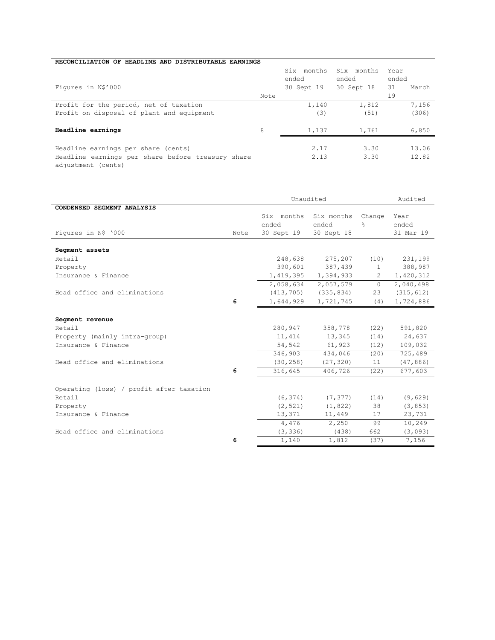| RECONCILIATION OF HEADLINE AND DISTRIBUTABLE EARNINGS |      |            |            |             |  |
|-------------------------------------------------------|------|------------|------------|-------------|--|
|                                                       |      | Six months | Six months | Year        |  |
|                                                       |      | ended      | ended      | ended       |  |
| Figures in N\$'000                                    |      | 30 Sept 19 | 30 Sept 18 | 31<br>March |  |
|                                                       | Note |            |            | 19          |  |
| Profit for the period, net of taxation                |      | 1,140      | 1,812      | 7,156       |  |
| Profit on disposal of plant and equipment             |      | (3)        | (51)       | (306)       |  |
|                                                       |      |            |            |             |  |
| Headline earnings                                     | 8    | 1,137      | 1,761      | 6,850       |  |
|                                                       |      |            |            |             |  |
| Headline earnings per share (cents)                   |      | 2.17       | 3.30       | 13.06       |  |
| Headline earnings per share before treasury share     |      | 2.13       | 3.30       | 12.82       |  |
| adjustment (cents)                                    |      |            |            |             |  |

|                                                   |      | Unaudited                         |                                   |               | Audited                    |  |
|---------------------------------------------------|------|-----------------------------------|-----------------------------------|---------------|----------------------------|--|
| CONDENSED SEGMENT ANALYSIS<br>Figures in N\$ '000 | Note | Six months<br>ended<br>30 Sept 19 | Six months<br>ended<br>30 Sept 18 | Change<br>۹.  | Year<br>ended<br>31 Mar 19 |  |
| Segment assets                                    |      |                                   |                                   |               |                            |  |
| Retail                                            |      | 248,638                           | 275,207                           | (10)          | 231,199                    |  |
| Property                                          |      | 390,601                           | 387,439                           | $\mathbf{1}$  | 388,987                    |  |
| Insurance & Finance                               |      | 1,419,395                         | 1,394,933                         | $\mathcal{L}$ | 1,420,312                  |  |
|                                                   |      | 2,058,634                         | 2,057,579                         | $\Omega$      | 2,040,498                  |  |
| Head office and eliminations                      |      | (413, 705)                        | (335, 834)                        | 23            | (315, 612)                 |  |
|                                                   | 6    | 1,644,929                         | 1,721,745                         | (4)           | 1,724,886                  |  |
| Segment revenue                                   |      |                                   |                                   |               |                            |  |
| Retail                                            |      | 280,947                           | 358,778                           | (22)          | 591,820                    |  |
| Property (mainly intra-group)                     |      | 11,414                            | 13,345                            | (14)          | 24,637                     |  |
| Insurance & Finance                               |      | 54,542                            | 61,923                            | (12)          | 109,032                    |  |
|                                                   |      | 346,903                           | 434,046                           | (20)          | 725,489                    |  |
| Head office and eliminations                      |      | (30, 258)                         | (27, 320)                         | 11            | (47, 886)                  |  |
|                                                   | 6    | 316,645                           | 406,726                           | (22)          | 677,603                    |  |
| Operating (loss) / profit after taxation          |      |                                   |                                   |               |                            |  |
| Retail                                            |      | (6, 374)                          | (7, 377)                          | (14)          | (9, 629)                   |  |
| Property                                          |      | (2, 521)                          | (1, 822)                          | 38            | (3, 853)                   |  |
| Insurance & Finance                               |      | 13,371                            | 11,449                            | 17            | 23,731                     |  |
|                                                   |      | 4,476                             | 2,250                             | 99            | 10,249                     |  |
| Head office and eliminations                      |      | (3, 336)                          | (438)                             | 662           | (3,093)                    |  |
|                                                   | 6    | 1,140                             | 1,812                             | (37)          | 7,156                      |  |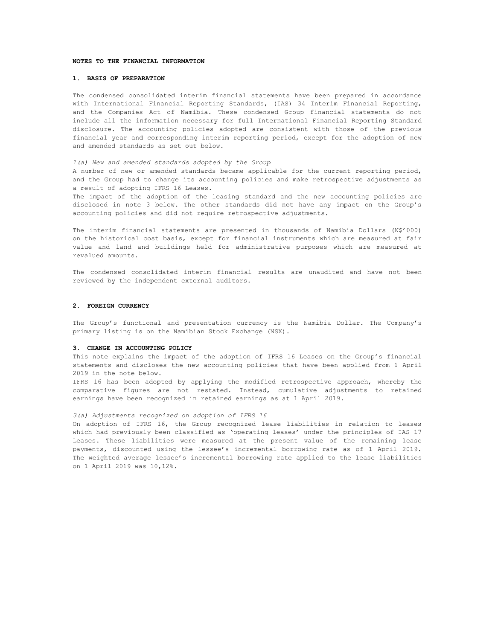#### **NOTES TO THE FINANCIAL INFORMATION**

## **1. BASIS OF PREPARATION**

The condensed consolidated interim financial statements have been prepared in accordance with International Financial Reporting Standards, (IAS) 34 Interim Financial Reporting, and the Companies Act of Namibia. These condensed Group financial statements do not include all the information necessary for full International Financial Reporting Standard disclosure. The accounting policies adopted are consistent with those of the previous financial year and corresponding interim reporting period, except for the adoption of new and amended standards as set out below.

#### *1(a) New and amended standards adopted by the Group*

A number of new or amended standards became applicable for the current reporting period, and the Group had to change its accounting policies and make retrospective adjustments as a result of adopting IFRS 16 Leases.

The impact of the adoption of the leasing standard and the new accounting policies are disclosed in note 3 below. The other standards did not have any impact on the Group's accounting policies and did not require retrospective adjustments.

The interim financial statements are presented in thousands of Namibia Dollars (N\$'000) on the historical cost basis, except for financial instruments which are measured at fair value and land and buildings held for administrative purposes which are measured at revalued amounts.

The condensed consolidated interim financial results are unaudited and have not been reviewed by the independent external auditors.

## **2. FOREIGN CURRENCY**

The Group's functional and presentation currency is the Namibia Dollar. The Company's primary listing is on the Namibian Stock Exchange (NSX).

#### **3. CHANGE IN ACCOUNTING POLICY**

This note explains the impact of the adoption of IFRS 16 Leases on the Group's financial statements and discloses the new accounting policies that have been applied from 1 April 2019 in the note below.

IFRS 16 has been adopted by applying the modified retrospective approach, whereby the comparative figures are not restated. Instead, cumulative adjustments to retained earnings have been recognized in retained earnings as at 1 April 2019.

#### *3(a) Adjustments recognized on adoption of IFRS 16*

On adoption of IFRS 16, the Group recognized lease liabilities in relation to leases which had previously been classified as 'operating leases' under the principles of IAS 17 Leases. These liabilities were measured at the present value of the remaining lease payments, discounted using the lessee's incremental borrowing rate as of 1 April 2019. The weighted average lessee's incremental borrowing rate applied to the lease liabilities on 1 April 2019 was 10,12%.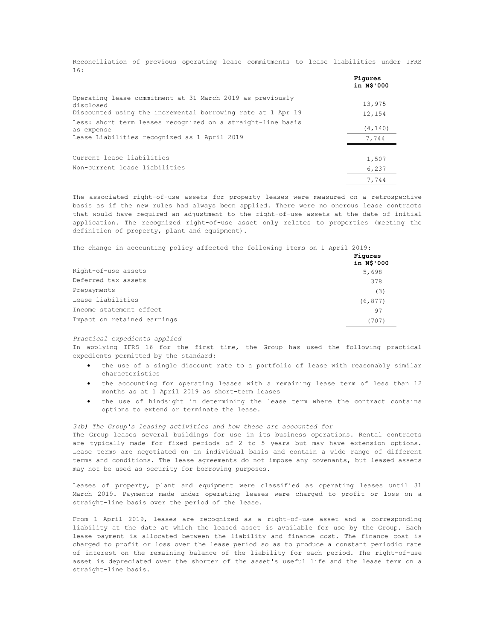Reconciliation of previous operating lease commitments to lease liabilities under IFRS 16:

|                                                                           | Figures<br>in N\$'000 |
|---------------------------------------------------------------------------|-----------------------|
| Operating lease commitment at 31 March 2019 as previously<br>disclosed    | 13,975                |
| Discounted using the incremental borrowing rate at 1 Apr 19               | 12,154                |
| Less: short term leases recognized on a straight-line basis<br>as expense | (4, 140)              |
| Lease Liabilities recognized as 1 April 2019                              | 7,744                 |
| Current lease liabilities                                                 | 1,507                 |
| Non-current lease liabilities                                             | 6,237                 |
|                                                                           | 7,744                 |

The associated right-of-use assets for property leases were measured on a retrospective basis as if the new rules had always been applied. There were no onerous lease contracts that would have required an adjustment to the right-of-use assets at the date of initial application. The recognized right-of-use asset only relates to properties (meeting the definition of property, plant and equipment).

The change in accounting policy affected the following items on 1 April 2019:

|                             | Figures<br>in N\$'000 |
|-----------------------------|-----------------------|
| Right-of-use assets         | 5,698                 |
| Deferred tax assets         | 378                   |
| Prepayments                 | (3)                   |
| Lease liabilities           | (6, 877)              |
| Income statement effect     | 97                    |
| Impact on retained earnings | (707)                 |

*Practical expedients applied*

In applying IFRS 16 for the first time, the Group has used the following practical expedients permitted by the standard:

- the use of a single discount rate to a portfolio of lease with reasonably similar characteristics
- the accounting for operating leases with a remaining lease term of less than 12 months as at 1 April 2019 as short-term leases
- the use of hindsight in determining the lease term where the contract contains options to extend or terminate the lease.

*3(b) The Group's leasing activities and how these are accounted for*

The Group leases several buildings for use in its business operations. Rental contracts are typically made for fixed periods of 2 to 5 years but may have extension options. Lease terms are negotiated on an individual basis and contain a wide range of different terms and conditions. The lease agreements do not impose any covenants, but leased assets may not be used as security for borrowing purposes.

Leases of property, plant and equipment were classified as operating leases until 31 March 2019. Payments made under operating leases were charged to profit or loss on a straight-line basis over the period of the lease.

From 1 April 2019, leases are recognized as a right-of-use asset and a corresponding liability at the date at which the leased asset is available for use by the Group. Each lease payment is allocated between the liability and finance cost. The finance cost is charged to profit or loss over the lease period so as to produce a constant periodic rate of interest on the remaining balance of the liability for each period. The right-of-use asset is depreciated over the shorter of the asset's useful life and the lease term on a straight-line basis.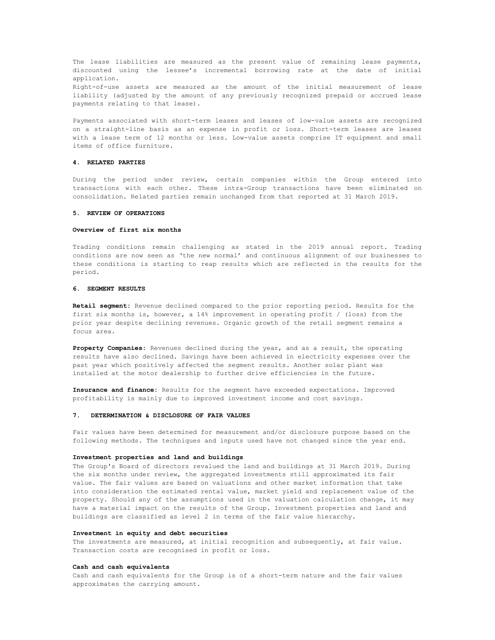The lease liabilities are measured as the present value of remaining lease payments, discounted using the lessee's incremental borrowing rate at the date of initial application. Right-of-use assets are measured as the amount of the initial measurement of lease liability (adjusted by the amount of any previously recognized prepaid or accrued lease payments relating to that lease).

Payments associated with short-term leases and leases of low-value assets are recognized on a straight-line basis as an expense in profit or loss. Short-term leases are leases with a lease term of 12 months or less. Low-value assets comprise IT equipment and small items of office furniture.

### **4. RELATED PARTIES**

During the period under review, certain companies within the Group entered into transactions with each other. These intra-Group transactions have been eliminated on consolidation. Related parties remain unchanged from that reported at 31 March 2019.

#### **5. REVIEW OF OPERATIONS**

#### **Overview of first six months**

Trading conditions remain challenging as stated in the 2019 annual report. Trading conditions are now seen as 'the new normal' and continuous alignment of our businesses to these conditions is starting to reap results which are reflected in the results for the period.

#### **6. SEGMENT RESULTS**

**Retail segment:** Revenue declined compared to the prior reporting period. Results for the first six months is, however, a 14% improvement in operating profit / (loss) from the prior year despite declining revenues. Organic growth of the retail segment remains a focus area.

Property Companies: Revenues declined during the year, and as a result, the operating results have also declined. Savings have been achieved in electricity expenses over the past year which positively affected the segment results. Another solar plant was installed at the motor dealership to further drive efficiencies in the future.

**Insurance and finance:** Results for the segment have exceeded expectations. Improved profitability is mainly due to improved investment income and cost savings.

#### **7. DETERMINATION & DISCLOSURE OF FAIR VALUES**

Fair values have been determined for measurement and/or disclosure purpose based on the following methods. The techniques and inputs used have not changed since the year end.

#### **Investment properties and land and buildings**

The Group's Board of directors revalued the land and buildings at 31 March 2019. During the six months under review, the aggregated investments still approximated its fair value. The fair values are based on valuations and other market information that take into consideration the estimated rental value, market yield and replacement value of the property. Should any of the assumptions used in the valuation calculation change, it may have a material impact on the results of the Group. Investment properties and land and buildings are classified as level 2 in terms of the fair value hierarchy.

#### **Investment in equity and debt securities**

The investments are measured, at initial recognition and subsequently, at fair value. Transaction costs are recognised in profit or loss.

#### **Cash and cash equivalents**

Cash and cash equivalents for the Group is of a short-term nature and the fair values approximates the carrying amount.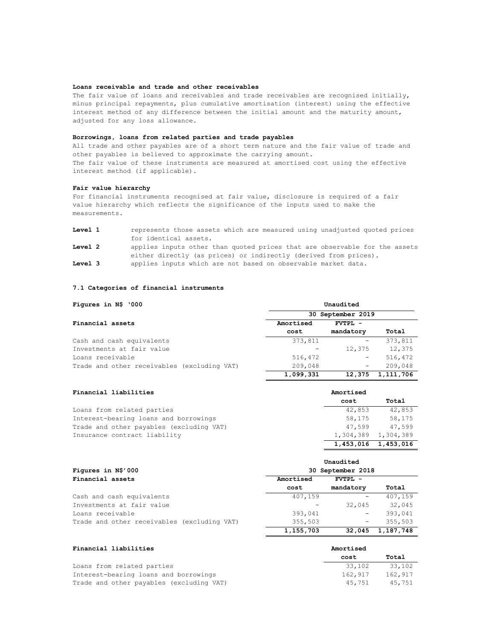#### **Loans receivable and trade and other receivables**

The fair value of loans and receivables and trade receivables are recognised initially, minus principal repayments, plus cumulative amortisation (interest) using the effective interest method of any difference between the initial amount and the maturity amount, adjusted for any loss allowance.

# **Borrowings, loans from related parties and trade payables**

All trade and other payables are of a short term nature and the fair value of trade and other payables is believed to approximate the carrying amount. The fair value of these instruments are measured at amortised cost using the effective interest method (if applicable).

#### **Fair value hierarchy**

For financial instruments recognised at fair value, disclosure is required of a fair value hierarchy which reflects the significance of the inputs used to make the measurements.

| Level 1 | represents those assets which are measured using unadjusted quoted prices  |
|---------|----------------------------------------------------------------------------|
|         | for identical assets.                                                      |
| Level 2 | applies inputs other than quoted prices that are observable for the assets |
|         | either directly (as prices) or indirectly (derived from prices).           |
| Level 3 | applies inputs which are not based on observable market data.              |

# **7.1 Categories of financial instruments**

| Figures in N\$ '000                         | Unaudited         |           |           |  |  |
|---------------------------------------------|-------------------|-----------|-----------|--|--|
|                                             | 30 September 2019 |           |           |  |  |
| Financial assets                            | Amortised         | FVTPL -   |           |  |  |
|                                             | cost              | mandatory | Total     |  |  |
| Cash and cash equivalents                   | 373,811           |           | 373,811   |  |  |
| Investments at fair value                   |                   | 12,375    | 12,375    |  |  |
| Loans receivable                            | 516,472           | -         | 516,472   |  |  |
| Trade and other receivables (excluding VAT) | 209,048           | -         | 209,048   |  |  |
|                                             | 1,099,331         | 12,375    | 1,111,706 |  |  |

**cost Total**

1,304,389 1,304,389 **1,453,016 1,453,016**

# **Financial liabilities Amortised Amortised**

| Loans from related parties               | 42,853              | 42,853 |
|------------------------------------------|---------------------|--------|
| Interest-bearing loans and borrowings    | 58.175              | 58,175 |
| Trade and other payables (excluding VAT) | 47.599              | 47,599 |
| Insurance contract liability             | 1,304,389 1,304,389 |        |

|                                             | Unaudited            |           |           |  |  |
|---------------------------------------------|----------------------|-----------|-----------|--|--|
| Figures in N\$'000                          | 30 September 2018    |           |           |  |  |
| Financial assets                            | Amortised<br>FVTPL - |           |           |  |  |
|                                             | cost                 | mandatory | Total     |  |  |
| Cash and cash equivalents                   | 407,159              |           | 407,159   |  |  |
| Investments at fair value                   |                      | 32,045    | 32,045    |  |  |
| Loans receivable                            | 393,041              | -         | 393,041   |  |  |
| Trade and other receivables (excluding VAT) | 355,503              | -         | 355,503   |  |  |
|                                             | 1,155,703            | 32,045    | 1,187,748 |  |  |

| Financial liabilities                    | Amortised |         |
|------------------------------------------|-----------|---------|
|                                          | cost      | Total   |
| Loans from related parties               | 33,102    | 33,102  |
| Interest-bearing loans and borrowings    | 162,917   | 162,917 |
| Trade and other payables (excluding VAT) | 45.751    | 45.751  |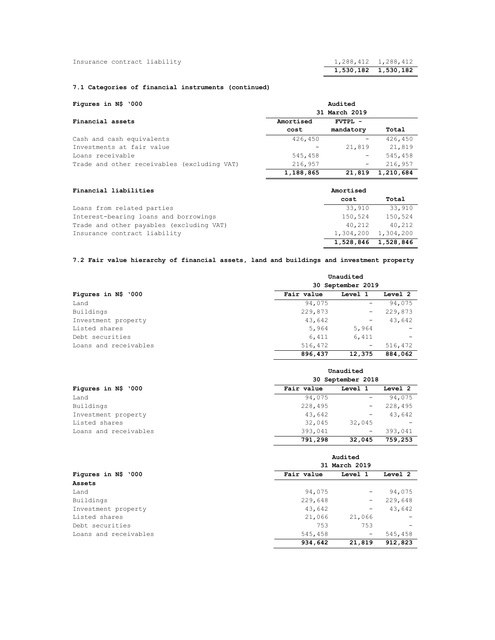|                              | 1,530,182 1,530,182 |  |
|------------------------------|---------------------|--|
| Insurance contract liability | 1,288,412 1,288,412 |  |

# **7.1 Categories of financial instruments (continued)**

| Figures in N\$ '000                         | Audited       |           |           |
|---------------------------------------------|---------------|-----------|-----------|
|                                             | 31 March 2019 |           |           |
| Financial assets                            | Amortised     | FVTPL -   |           |
|                                             | cost          | mandatory | Total     |
| Cash and cash equivalents                   | 426,450       |           | 426,450   |
| Investments at fair value                   |               | 21,819    | 21,819    |
| Loans receivable                            | 545,458       | -         | 545,458   |
| Trade and other receivables (excluding VAT) | 216,957       | -         | 216,957   |
|                                             | 1,188,865     | 21,819    | 1,210,684 |

| Financial liabilities                    | Amortised |                     |  |
|------------------------------------------|-----------|---------------------|--|
|                                          | cost      | Total               |  |
| Loans from related parties               | 33,910    | 33,910              |  |
| Interest-bearing loans and borrowings    | 150,524   | 150,524             |  |
| Trade and other payables (excluding VAT) | 40,212    | 40,212              |  |
| Insurance contract liability             |           | 1,304,200 1,304,200 |  |
|                                          |           | 1,528,846 1,528,846 |  |

# **7.2 Fair value hierarchy of financial assets, land and buildings and investment property**

|                       | Unaudited<br>30 September 2019 |         |         |
|-----------------------|--------------------------------|---------|---------|
| Figures in N\$ '000   | Fair value                     | Level 1 | Level 2 |
| Land                  | 94,075                         |         | 94,075  |
| Buildings             | 229,873                        | -       | 229,873 |
| Investment property   | 43,642                         | -       | 43,642  |
| Listed shares         | 5,964                          | 5,964   |         |
| Debt securities       | 6,411                          | 6,411   |         |
| Loans and receivables | 516,472                        | -       | 516,472 |
|                       | 896,437                        | 12,375  | 884,062 |

|                       | Unaudited         |                   |         |
|-----------------------|-------------------|-------------------|---------|
|                       | 30 September 2018 |                   |         |
| Figures in N\$ '000   | Fair value        | Level 1           | Level 2 |
| Land                  | 94,075            | -                 | 94,075  |
| Buildings             | 228,495           | -                 | 228,495 |
| Investment property   | 43,642            | -                 | 43,642  |
| Listed shares         | 32,045            | 32,045            |         |
| Loans and receivables | 393,041           | $\qquad \qquad -$ | 393,041 |
|                       | 791,298           | 32,045            | 759,253 |

|                       | Audited<br>31 March 2019 |                          |         |
|-----------------------|--------------------------|--------------------------|---------|
| Figures in N\$ '000   |                          |                          |         |
|                       | Fair value               | Level 1                  | Level 2 |
| Assets                |                          |                          |         |
| Land                  | 94,075                   | -                        | 94,075  |
| Buildings             | 229,648                  | $\overline{\phantom{m}}$ | 229,648 |
| Investment property   | 43,642                   | -                        | 43,642  |
| Listed shares         | 21,066                   | 21,066                   |         |
| Debt securities       | 753                      | 753                      |         |
| Loans and receivables | 545,458                  | $\qquad \qquad -$        | 545,458 |
|                       | 934,642                  | 21,819                   | 912,823 |